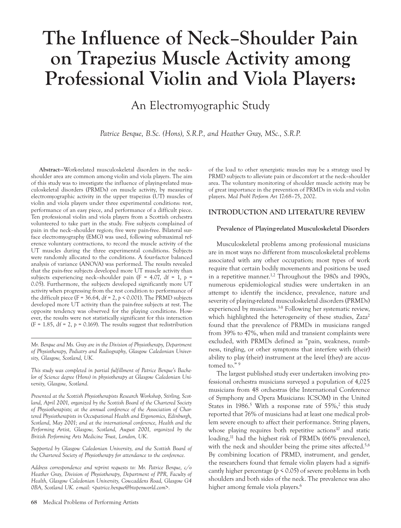# **The Influence of Neck–Shoulder Pain on Trapezius Muscle Activity among Professional Violin and Viola Players:**

An Electromyographic Study

*Patrice Berque, B.Sc. (Hons), S.R.P., and Heather Gray, MSc., S.R.P.*

**Abstract—**Work-related musculoskeletal disorders in the neck– shoulder area are common among violin and viola players. The aim of this study was to investigate the influence of playing-related musculoskeletal disorders (PRMDs) on muscle activity, by measuring electromyographic activity in the upper trapezius (UT) muscles of violin and viola players under three experimental conditions: rest, performance of an easy piece, and performance of a difficult piece. Ten professional violin and viola players from a Scottish orchestra volunteered to take part in the study. Five subjects complained of pain in the neck–shoulder region; five were pain-free. Bilateral surface electromyography (EMG) was used, following submaximal reference voluntary contractions, to record the muscle activity of the UT muscles during the three experimental conditions. Subjects were randomly allocated to the conditions. A four-factor balanced analysis of variance (ANOVA) was performed. The results revealed that the pain-free subjects developed more UT muscle activity than subjects experiencing neck-shoulder pain ( $F = 4.07$ , df = 1,  $p =$ 0.05). Furthermore, the subjects developed significantly more UT activity when progressing from the rest condition to performance of the difficult piece (F =  $36.64$ , df = 2, *p* < 0.001). The PRMD subjects developed more UT activity than the pain-free subjects at rest. The opposite tendency was observed for the playing conditions. However, the results were not statistically significant for this interaction (F = 1.85, df = 2,  $p = 0.169$ ). The results suggest that redistribution

*Mr. Berque and Ms. Gray are in the Division of Physiotherapy, Department of Physiotherapy, Podiatry and Radiography, Glasgow Caledonian University, Glasgow, Scotland, UK.*

*This study was completed in partial fulfillment of Patrice Berque's Bachelor of Science degree (Hons) in physiotherapy at Glasgow Caledonian University, Glasgow, Scotland.*

*Presented at the Scottish Physiotherapists Research Workshop, Stirling, Scotland, April 2001, organized by the Scottish Board of the Chartered Society of Physiotherapists; at the annual conference of the Association of Chartered Physiotherapists in Occupational Health and Ergonomics, Edinburgh, Scotland, May 2001; and at the international conference, Health and the Performing Artist, Glasgow, Scotland, August 2001, organized by the British Performing Arts Medicine Trust, London, UK.*

*Supported by Glasgow Caledonian University, and the Scottish Board of the Chartered Society of Physiotherapy for attendance to the conference.*

*Address correspondence and reprint requests to: Mr. Patrice Berque, c/o Heather Gray, Division of Physiotherapy, Department of PPR, Faculty of Health, Glasgow Caledonian University, Cowcaddens Road, Glasgow G4 0BA, Scotland UK. e-mail: <patrice.berque@btopenworld.com>.*

of the load to other synergistic muscles may be a strategy used by PRMD subjects to alleviate pain or discomfort at the neck–shoulder area. The voluntary monitoring of shoulder muscle activity may be of great importance in the prevention of PRMDs in viola and violin players. *Med Probl Perform Art* 17:68–75, 2002.

## **INTRODUCTION AND LITERATURE REVIEW**

#### **Prevalence of Playing-related Musculoskeletal Disorders**

Musculoskeletal problems among professional musicians are in most ways no different from musculoskeletal problems associated with any other occupation; most types of work require that certain bodily movements and positions be used in a repetitive manner.<sup>1,2</sup> Throughout the 1980s and 1990s, numerous epidemiological studies were undertaken in an attempt to identify the incidence, prevalence, nature and severity of playing-related musculoskeletal disorders (PRMDs) experienced by musicians.<sup>3-8</sup> Following her systematic review, which highlighted the heterogeneity of these studies,  $Zaza^2$ found that the prevalence of PRMDs in musicians ranged from 39% to 47%, when mild and transient complaints were excluded, with PRMDs defined as "pain, weakness, numbness, tingling, or other symptoms that interfere with (their) ability to play (their) instrument at the level (they) are accustomed to."<sup>9</sup>

The largest published study ever undertaken involving professional orchestra musicians surveyed a population of 4,025 musicians from 48 orchestras (the International Conference of Symphony and Opera Musicians: ICSOM) in the United States in 1986.<sup>5</sup> With a response rate of  $55\%,^2$  this study reported that 76% of musicians had at least one medical problem severe enough to affect their performance. String players, whose playing requires both repetitive actions<sup>10</sup> and static loading,<sup>11</sup> had the highest risk of PRMDs (66% prevalence), with the neck and shoulder being the prime sites affected.<sup>5,6</sup> By combining location of PRMD, instrument, and gender, the researchers found that female violin players had a significantly higher percentage ( $p \le 0.05$ ) of severe problems in both shoulders and both sides of the neck. The prevalence was also higher among female viola players.<sup>6</sup>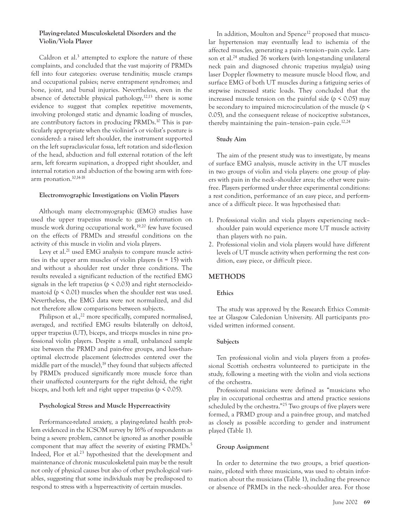# **Playing-related Musculoskeletal Disorders and the Violin/Viola Player**

Caldron et al.<sup>3</sup> attempted to explore the nature of these complaints, and concluded that the vast majority of PRMDs fell into four categories: overuse tendinitis; muscle cramps and occupational palsies; nerve entrapment syndromes; and bone, joint, and bursal injuries. Nevertheless, even in the absence of detectable physical pathology, $12,13$  there is some evidence to suggest that complex repetitive movements, involving prolonged static and dynamic loading of muscles, are contributory factors in producing PRMDs.<sup>10</sup> This is particularly appropriate when the violinist's or violist's posture is considered: a raised left shoulder, the instrument supported on the left supraclavicular fossa, left rotation and side-flexion of the head, abduction and full external rotation of the left arm, left forearm supination, a dropped right shoulder, and internal rotation and abduction of the bowing arm with forearm pronation.10,14-18

## **Electromyographic Investigations on Violin Players**

Although many electromyographic (EMG) studies have used the upper trapezius muscle to gain information on muscle work during occupational work,<sup>19,20</sup> few have focused on the effects of PRMDs and stressful conditions on the activity of this muscle in violin and viola players.

Levy et al.<sup>21</sup> used EMG analysis to compare muscle activities in the upper arm muscles of violin players (*n* = 15) with and without a shoulder rest under three conditions. The results revealed a significant reduction of the rectified EMG signals in the left trapezius ( $p \le 0.03$ ) and right sternocleidomastoid ( $p \le 0.01$ ) muscles when the shoulder rest was used. Nevertheless, the EMG data were not normalized, and did not therefore allow comparisons between subjects.

Philipson et al., $^{22}$  more specifically, compared normalised, averaged, and rectified EMG results bilaterally on deltoid, upper trapezius (UT), biceps, and triceps muscles in nine professional violin players. Despite a small, unbalanced sample size between the PRMD and pain-free groups, and less-thanoptimal electrode placement (electrodes centered over the middle part of the muscle), $19$  they found that subjects affected by PRMDs produced significantly more muscle force than their unaffected counterparts for the right deltoid, the right biceps, and both left and right upper trapezius (*p* < 0.05).

## **Psychological Stress and Muscle Hyperreactivity**

Performance-related anxiety, a playing-related health problem evidenced in the ICSOM survey by 16% of respondents as being a severe problem, cannot be ignored as another possible component that may affect the severity of existing PRMDs.<sup>5</sup> Indeed, Flor et al.<sup>23</sup> hypothesized that the development and maintenance of chronic musculoskeletal pain may be the result not only of physical causes but also of other psychological variables, suggesting that some individuals may be predisposed to respond to stress with a hyperreactivity of certain muscles.

In addition, Moulton and Spence<sup>12</sup> proposed that muscular hypertension may eventually lead to ischemia of the affected muscles, generating a pain–tension–pain cycle. Larsson et al.<sup>24</sup> studied 76 workers (with long-standing unilateral neck pain and diagnosed chronic trapezius myalgia) using laser Doppler flowmetry to measure muscle blood flow, and surface EMG of both UT muscles during a fatiguing series of stepwise increased static loads. They concluded that the increased muscle tension on the painful side ( $p \le 0.05$ ) may be secondary to impaired microcirculation of the muscle (*p* < 0.05), and the consequent release of nociceptive substances, thereby maintaining the pain-tension-pain cycle.<sup>12,24</sup>

# **Study Aim**

The aim of the present study was to investigate, by means of surface EMG analysis, muscle activity in the UT muscles in two groups of violin and viola players: one group of players with pain in the neck–shoulder area; the other were painfree. Players performed under three experimental conditions: a rest condition, performance of an easy piece, and performance of a difficult piece. It was hypothesised that:

- 1. Professional violin and viola players experiencing neck– shoulder pain would experience more UT muscle activity than players with no pain.
- 2. Professional violin and viola players would have different levels of UT muscle activity when performing the rest condition, easy piece, or difficult piece.

# **METHODS**

# **Ethics**

The study was approved by the Research Ethics Committee at Glasgow Caledonian University. All participants provided written informed consent.

# **Subjects**

Ten professional violin and viola players from a professional Scottish orchestra volunteered to participate in the study, following a meeting with the violin and viola sections of the orchestra.

Professional musicians were defined as "musicians who play in occupational orchestras and attend practice sessions scheduled by the orchestra."<sup>25</sup> Two groups of five players were formed, a PRMD group and a pain-free group, and matched as closely as possible according to gender and instrument played (Table 1).

# **Group Assignment**

In order to determine the two groups, a brief questionnaire, piloted with three musicians, was used to obtain information about the musicians (Table 1), including the presence or absence of PRMDs in the neck–shoulder area. For those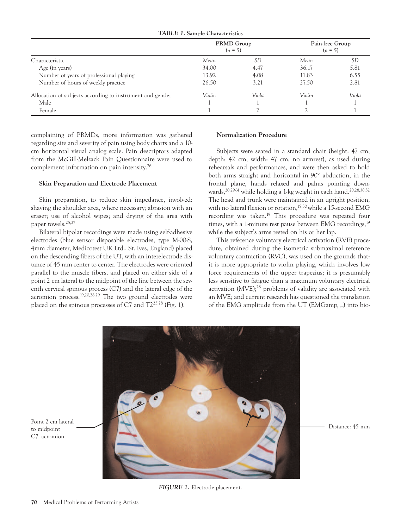| <b>TABLE 1. Sample Characteristics</b> |  |  |  |  |
|----------------------------------------|--|--|--|--|
|----------------------------------------|--|--|--|--|

|                                                           | PRMD Group<br>$(n = 5)$ |           |        | Pain-free Group<br>$(n = 5)$ |  |
|-----------------------------------------------------------|-------------------------|-----------|--------|------------------------------|--|
| Characteristic                                            | Mean                    | <i>SD</i> | Mean   | SD                           |  |
| Age (in years)                                            | 34.00                   | 4.47      | 36.17  | 5.81                         |  |
| Number of years of professional playing                   | 13.92                   | 4.08      | 11.83  | 6.55                         |  |
| Number of hours of weekly practice                        | 26.50                   | 3.21      | 27.50  | 2.81                         |  |
| Allocation of subjects according to instrument and gender | Violin                  | Viola     | Violin | Viola                        |  |
| Male                                                      |                         |           |        |                              |  |
| Female                                                    |                         |           |        |                              |  |

complaining of PRMDs, more information was gathered regarding site and severity of pain using body charts and a 10 cm horizontal visual analog scale. Pain descriptors adapted from the McGill-Melzack Pain Questionnaire were used to complement information on pain intensity.<sup>26</sup>

## **Skin Preparation and Electrode Placement**

Skin preparation, to reduce skin impedance, involved: shaving the shoulder area, where necessary; abrasion with an eraser; use of alcohol wipes; and drying of the area with paper towels.<sup>25,27</sup>

Bilateral bipolar recordings were made using self-adhesive electrodes (blue sensor disposable electrodes, type M-00-S, 4mm diameter, Medicotest UK Ltd., St. Ives, England) placed on the descending fibers of the UT, with an interelectrode distance of 45 mm center to center. The electrodes were oriented parallel to the muscle fibers, and placed on either side of a point 2 cm lateral to the midpoint of the line between the seventh cervical spinous process (C7) and the lateral edge of the acromion process.19,20,28,29 The two ground electrodes were placed on the spinous processes of C7 and T225,28 (Fig. 1).

### **Normalization Procedure**

Subjects were seated in a standard chair (height: 47 cm, depth: 42 cm, width: 47 cm, no armrest), as used during rehearsals and performances, and were then asked to hold both arms straight and horizontal in 90° abduction, in the frontal plane, hands relaxed and palms pointing downwards,<sup>20,29-31</sup> while holding a 1-kg weight in each hand.<sup>20,28,30,32</sup> The head and trunk were maintained in an upright position, with no lateral flexion or rotation,<sup>19,30</sup> while a 15-second EMG recording was taken.<sup>19</sup> This procedure was repeated four times, with a 1-minute rest pause between EMG recordings,<sup>19</sup> while the subject's arms rested on his or her lap.

This reference voluntary electrical activation (RVE) procedure, obtained during the isometric submaximal reference voluntary contraction (RVC), was used on the grounds that: it is more appropriate to violin playing, which involves low force requirements of the upper trapezius; it is presumably less sensitive to fatigue than a maximum voluntary electrical activation  $(MVE);^{28}$  problems of validity are associated with an MVE; and current research has questioned the translation of the EMG amplitude from the UT (EMGamp<sub>UT</sub>) into bio-



*FIGURE 1.* Electrode placement.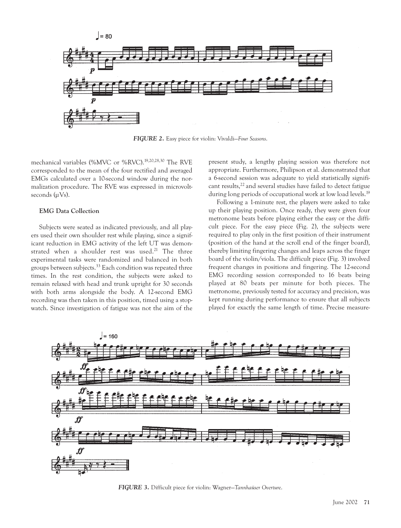

*FIGURE 2.* Easy piece for violin: Vivaldi—*Four Seasons*.

mechanical variables (%MVC or %RVC).19,20,28,30 The RVE corresponded to the mean of the four rectified and averaged EMGs calculated over a 10-second window during the normalization procedure. The RVE was expressed in microvoltseconds  $(\mu V_s)$ .

## **EMG Data Collection**

Subjects were seated as indicated previously, and all players used their own shoulder rest while playing, since a significant reduction in EMG activity of the left UT was demonstrated when a shoulder rest was used.<sup>21</sup> The three experimental tasks were randomized and balanced in both groups between subjects.<sup>33</sup> Each condition was repeated three times. In the rest condition, the subjects were asked to remain relaxed with head and trunk upright for 30 seconds with both arms alongside the body. A 12-second EMG recording was then taken in this position, timed using a stopwatch. Since investigation of fatigue was not the aim of the present study, a lengthy playing session was therefore not appropriate. Furthermore, Philipson et al. demonstrated that a 6-second session was adequate to yield statistically significant results,<sup>22</sup> and several studies have failed to detect fatigue during long periods of occupational work at low load levels.<sup>19</sup>

Following a 1-minute rest, the players were asked to take up their playing position. Once ready, they were given four metronome beats before playing either the easy or the difficult piece. For the easy piece (Fig. 2), the subjects were required to play only in the first position of their instrument (position of the hand at the scroll end of the finger board), thereby limiting fingering changes and leaps across the finger board of the violin/viola. The difficult piece (Fig. 3) involved frequent changes in positions and fingering. The 12-second EMG recording session corresponded to 16 beats being played at 80 beats per minute for both pieces. The metronome, previously tested for accuracy and precision, was kept running during performance to ensure that all subjects played for exactly the same length of time. Precise measure-



*FIGURE 3.* Difficult piece for violin: Wagner—*Tannhaüser Overture*.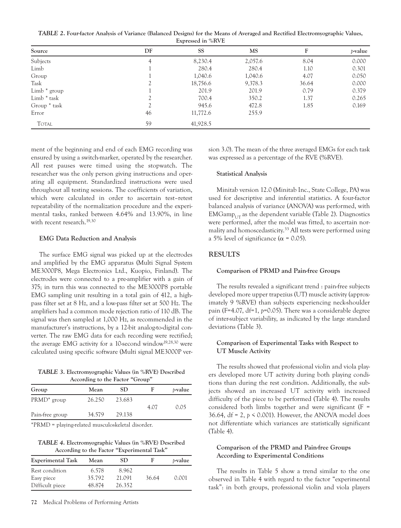*TABLE 2***. Four-factor Analysis of Variance (Balanced Designs) for the Means of Averaged and Rectified Electromyographic Values, Expressed in %RVE**

| Source         | DF | <b>SS</b> | MS      | F     | <i>p</i> -value |
|----------------|----|-----------|---------|-------|-----------------|
| Subjects       | 4  | 8,230.4   | 2,057.6 | 8.04  | 0.000           |
| Limb           |    | 280.4     | 280.4   | 1.10  | 0.301           |
| Group          |    | 1,040.6   | 1,040.6 | 4.07  | 0.050           |
| Task           |    | 18,756.6  | 9,378.3 | 36.64 | 0.000           |
| Limb $*$ group |    | 201.9     | 201.9   | 0.79  | 0.379           |
| Limb * task    |    | 700.4     | 350.2   | 1.37  | 0.265           |
| Group * task   |    | 945.6     | 472.8   | 1.85  | 0.169           |
| Error          | 46 | 11,772.6  | 255.9   |       |                 |
| <b>TOTAL</b>   | 59 | 41,928.5  |         |       |                 |

ment of the beginning and end of each EMG recording was ensured by using a switch-marker, operated by the researcher. All rest pauses were timed using the stopwatch. The researcher was the only person giving instructions and operating all equipment. Standardized instructions were used throughout all testing sessions. The coefficients of variation, which were calculated in order to ascertain test–retest repeatability of the normalization procedure and the experimental tasks, ranked between 4.64% and 13.90%, in line with recent research.<sup>19,30</sup>

## **EMG Data Reduction and Analysis**

The surface EMG signal was picked up at the electrodes and amplified by the EMG apparatus (Multi Signal System ME3000P8, Mega Electronics Ltd., Kuopio, Finland). The electrodes were connected to a pre-amplifier with a gain of 375; in turn this was connected to the ME3000P8 portable EMG sampling unit resulting in a total gain of 412, a highpass filter set at 8 Hz, and a low-pass filter set at 500 Hz. The amplifiers had a common mode rejection ratio of 110 dB. The signal was then sampled at 1,000 Hz, as recommended in the manufacturer's instructions, by a 12-bit analog-to-digital converter. The raw EMG data for each recording were rectified; the average EMG activity for a 10-second window<sup>19,28,30</sup> were calculated using specific software (Multi signal ME3000P ver-

*TABLE 3***. Electromyographic Values (in %RVE) Described According to the Factor "Group"**

| Mean   | SD.    | <i>b</i> -value |
|--------|--------|-----------------|
| 26.250 | 23.683 | 0.05            |
| 34.579 | 29.138 |                 |
|        |        | 4.07            |

\*PRMD = playing-related musculoskeletal disorder.

*TABLE 4***. Electromyographic Values (in %RVE) Described According to the Factor "Experimental Task"**

| <b>Experimental Task</b>     | Mean            | SD              | Е     | <i>b</i> -value |
|------------------------------|-----------------|-----------------|-------|-----------------|
| Rest condition<br>Easy piece | 6.578<br>35.792 | 8.962<br>21.091 | 36.64 | 0.001           |
| Difficult piece              | 48.874          | 26.352          |       |                 |

sion 3.0). The mean of the three averaged EMGs for each task was expressed as a percentage of the RVE (%RVE).

#### **Statistical Analysis**

Minitab version 12.0 (Minitab Inc., State College, PA) was used for descriptive and inferential statistics. A four-factor balanced analysis of variance (ANOVA) was performed, with  $EMGamp<sub>UT</sub>$  as the dependent variable (Table 2). Diagnostics were performed, after the model was fitted, to ascertain normality and homoscedasticity.<sup>33</sup> All tests were performed using a 5% level of significance ( $\alpha$  = 0.05).

## **RESULTS**

## **Comparison of PRMD and Pain-free Groups**

The results revealed a significant trend : pain-free subjects developed more upper trapezius (UT) muscle activity (approximately 9 %RVE) than subjects experiencing neck-shoulder pain (F=4.07, df=1, *p*=0.05). There was a considerable degree of inter-subject variability, as indicated by the large standard deviations (Table 3).

## **Comparison of Experimental Tasks with Respect to UT Muscle Activity**

The results showed that professional violin and viola players developed more UT activity during both playing conditions than during the rest condition. Additionally, the subjects showed an increased UT activity with increased difficulty of the piece to be performed (Table 4). The results considered both limbs together and were significant  $(F =$ 36.64, df = 2, *p* < 0.001). However, the ANOVA model does not differentiate which variances are statistically significant (Table 4).

# **Comparison of the PRMD and Pain-free Groups According to Experimental Conditions**

The results in Table 5 show a trend similar to the one observed in Table 4 with regard to the factor "experimental task": in both groups, professional violin and viola players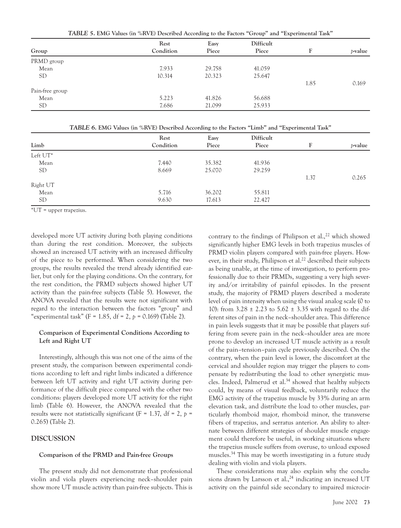*TABLE 5***. EMG Values (in %RVE) Described According to the Factors "Group" and "Experimental Task"**

| Group           | Rest<br>Condition | Easy<br>Piece | Difficult<br>Piece | F    | <i>p</i> -value |
|-----------------|-------------------|---------------|--------------------|------|-----------------|
| PRMD group      |                   |               |                    |      |                 |
| Mean            | 7.933             | 29.758        | 41.059             |      |                 |
| <b>SD</b>       | 10.314            | 20.323        | 25.647             |      |                 |
|                 |                   |               |                    | 1.85 | 0.169           |
| Pain-free group |                   |               |                    |      |                 |
| Mean            | 5.223             | 41.826        | 56.688             |      |                 |
| <b>SD</b>       | 7.686             | 21.099        | 25.933             |      |                 |

*TABLE 6***. EMG Values (in %RVE) Described According to the Factors "Limb" and "Experimental Task"**

|           | Rest      | Easy   | Difficult |      |                 |
|-----------|-----------|--------|-----------|------|-----------------|
| Limb      | Condition | Piece  | Piece     | F    | <i>p</i> -value |
| Left UT*  |           |        |           |      |                 |
| Mean      | 7.440     | 35.382 | 41.936    |      |                 |
| <b>SD</b> | 8.669     | 25.070 | 29.259    |      |                 |
|           |           |        |           | 1.37 | 0.265           |
| Right UT  |           |        |           |      |                 |
| Mean      | 5.716     | 36.202 | 55.811    |      |                 |
| <b>SD</b> | 9.630     | 17.613 | 22.427    |      |                 |

\*UT = upper trapezius.

developed more UT activity during both playing conditions than during the rest condition. Moreover, the subjects showed an increased UT activity with an increased difficulty of the piece to be performed. When considering the two groups, the results revealed the trend already identified earlier, but only for the playing conditions. On the contrary, for the rest condition, the PRMD subjects showed higher UT activity than the pain-free subjects (Table 5). However, the ANOVA revealed that the results were not significant with regard to the interaction between the factors "group" and "experimental task" (F = 1.85, df = 2, *p =* 0.169) (Table 2).

# **Comparison of Experimental Conditions According to Left and Right UT**

Interestingly, although this was not one of the aims of the present study, the comparison between experimental conditions according to left and right limbs indicated a difference between left UT activity and right UT activity during performance of the difficult piece compared with the other two conditions: players developed more UT activity for the right limb (Table 6). However, the ANOVA revealed that the results were not statistically significant ( $F = 1.37$ , df = 2,  $p =$ 0.265) (Table 2).

## **DISCUSSION**

#### **Comparison of the PRMD and Pain-free Groups**

The present study did not demonstrate that professional violin and viola players experiencing neck–shoulder pain show more UT muscle activity than pain-free subjects. This is contrary to the findings of Philipson et al., $^{22}$  which showed significantly higher EMG levels in both trapezius muscles of PRMD violin players compared with pain-free players. However, in their study, Philipson et al.<sup>22</sup> described their subjects as being unable, at the time of investigation, to perform professionally due to their PRMDs, suggesting a very high severity and/or irritability of painful episodes. In the present study, the majority of PRMD players described a moderate level of pain intensity when using the visual analog scale (0 to 10): from 3.28 ± 2.23 to 5.62 ± 3.35 with regard to the different sites of pain in the neck–shoulder area. This difference in pain levels suggests that it may be possible that players suffering from severe pain in the neck–shoulder area are more prone to develop an increased UT muscle activity as a result of the pain–tension–pain cycle previously described. On the contrary, when the pain level is lower, the discomfort at the cervical and shoulder region may trigger the players to compensate by redistributing the load to other synergistic muscles. Indeed, Palmerud et al.<sup>34</sup> showed that healthy subjects could, by means of visual feedback, voluntarily reduce the EMG activity of the trapezius muscle by 33% during an arm elevation task, and distribute the load to other muscles, particularly rhomboid major, rhomboid minor, the transverse fibers of trapezius, and serratus anterior. An ability to alternate between different strategies of shoulder muscle engagement could therefore be useful, in working situations where the trapezius muscle suffers from overuse, to unload exposed muscles.34 This may be worth investigating in a future study dealing with violin and viola players.

These considerations may also explain why the conclusions drawn by Larsson et al., $^{24}$  indicating an increased UT activity on the painful side secondary to impaired microcir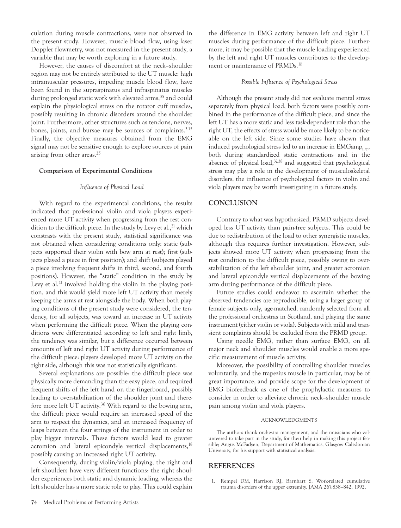culation during muscle contractions, were not observed in the present study. However, muscle blood flow, using laser Doppler flowmetry, was not measured in the present study, a variable that may be worth exploring in a future study.

However, the causes of discomfort at the neck–shoulder region may not be entirely attributed to the UT muscle: high intramuscular pressures, impeding muscle blood flow, have been found in the supraspinatus and infraspinatus muscles during prolonged static work with elevated arms,<sup>35</sup> and could explain the physiological stress on the rotator cuff muscles, possibly resulting in chronic disorders around the shoulder joint. Furthermore, other structures such as tendons, nerves, bones, joints, and bursae may be sources of complaints.3,15 Finally, the objective measures obtained from the EMG signal may not be sensitive enough to explore sources of pain arising from other areas.25

## **Comparison of Experimental Conditions**

## *Influence of Physical Load*

With regard to the experimental conditions, the results indicated that professional violin and viola players experienced more UT activity when progressing from the rest condition to the difficult piece. In the study by Levy et al., $^{21}$  which constrasts with the present study, statistical significance was not obtained when considering conditions only: static (subjects supported their violin with bow arm at rest); first (subjects played a piece in first position); and shift (subjects played a piece involving frequent shifts in third, second, and fourth positions). However, the "static" condition in the study by Levy et al.<sup>21</sup> involved holding the violin in the playing position, and this would yield more left UT activity than merely keeping the arms at rest alongside the body. When both playing conditions of the present study were considered, the tendency, for all subjects, was toward an increase in UT activity when performing the difficult piece. When the playing conditions were differentiated according to left and right limb, the tendency was similar, but a difference occurred between amounts of left and right UT activity during performance of the difficult piece: players developed more UT activity on the right side, although this was not statistically significant.

Several explanations are possible: the difficult piece was physically more demanding than the easy piece, and required frequent shifts of the left hand on the fingerboard, possibly leading to overstabilization of the shoulder joint and therefore more left UT activity.<sup>36</sup> With regard to the bowing arm, the difficult piece would require an increased speed of the arm to respect the dynamics, and an increased frequency of leaps between the four strings of the instrument in order to play bigger intervals. These factors would lead to greater acromion and lateral epicondyle vertical displacements,<sup>18</sup> possibly causing an increased right UT activity.

Consequently, during violin/viola playing, the right and left shoulders have very different functions: the right shoulder experiences both static and dynamic loading, whereas the left shoulder has a more static role to play. This could explain the difference in EMG activity between left and right UT muscles during performance of the difficult piece. Furthermore, it may be possible that the muscle loading experienced by the left and right UT muscles contributes to the development or maintenance of PRMDs.10

## *Possible Influence of Psychological Stress*

Although the present study did not evaluate mental stress separately from physical load, both factors were possibly combined in the performance of the difficult piece, and since the left UT has a more static and less task-dependent role than the right UT, the effects of stress would be more likely to be noticeable on the left side. Since some studies have shown that induced psychological stress led to an increase in  $EMGamp_{LTT}$ , both during standardized static contractions and in the absence of physical load,<sup>37,38</sup> and suggested that psychological stress may play a role in the development of musculoskeletal disorders, the influence of psychological factors in violin and viola players may be worth investigating in a future study.

## **CONCLUSION**

Contrary to what was hypothesized, PRMD subjects developed less UT activity than pain-free subjects. This could be due to redistribution of the load to other synergistic muscles, although this requires further investigation. However, subjects showed more UT activity when progressing from the rest condition to the difficult piece, possibly owing to overstabilization of the left shoulder joint, and greater acromion and lateral epicondyle vertical displacements of the bowing arm during performance of the difficult piece.

Future studies could endeavor to ascertain whether the observed tendencies are reproducible, using a larger group of female subjects only, age-matched, randomly selected from all the professional orchestras in Scotland, and playing the same instrument (either violin or viola). Subjects with mild and transient complaints should be excluded from the PRMD group.

Using needle EMG, rather than surface EMG, on all major neck and shoulder muscles would enable a more specific measurement of muscle activity.

Moreover, the possibility of controlling shoulder muscles voluntarily, and the trapezius muscle in particular, may be of great importance, and provide scope for the development of EMG biofeedback as one of the prophylactic measures to consider in order to alleviate chronic neck–shoulder muscle pain among violin and viola players.

#### ACKNOWLEDGMENTS

The authors thank orchestra management, and the musicians who volunteered to take part in the study, for their help in making this project feasible; Angus McFadyen, Department of Mathematics, Glasgow Caledonian University, for his support with statistical analysis.

#### **REFERENCES**

1. Rempel DM, Harrison RJ, Barnhart S: Work-related cumulative trauma disorders of the upper extremity. JAMA 267:838–842, 1992.